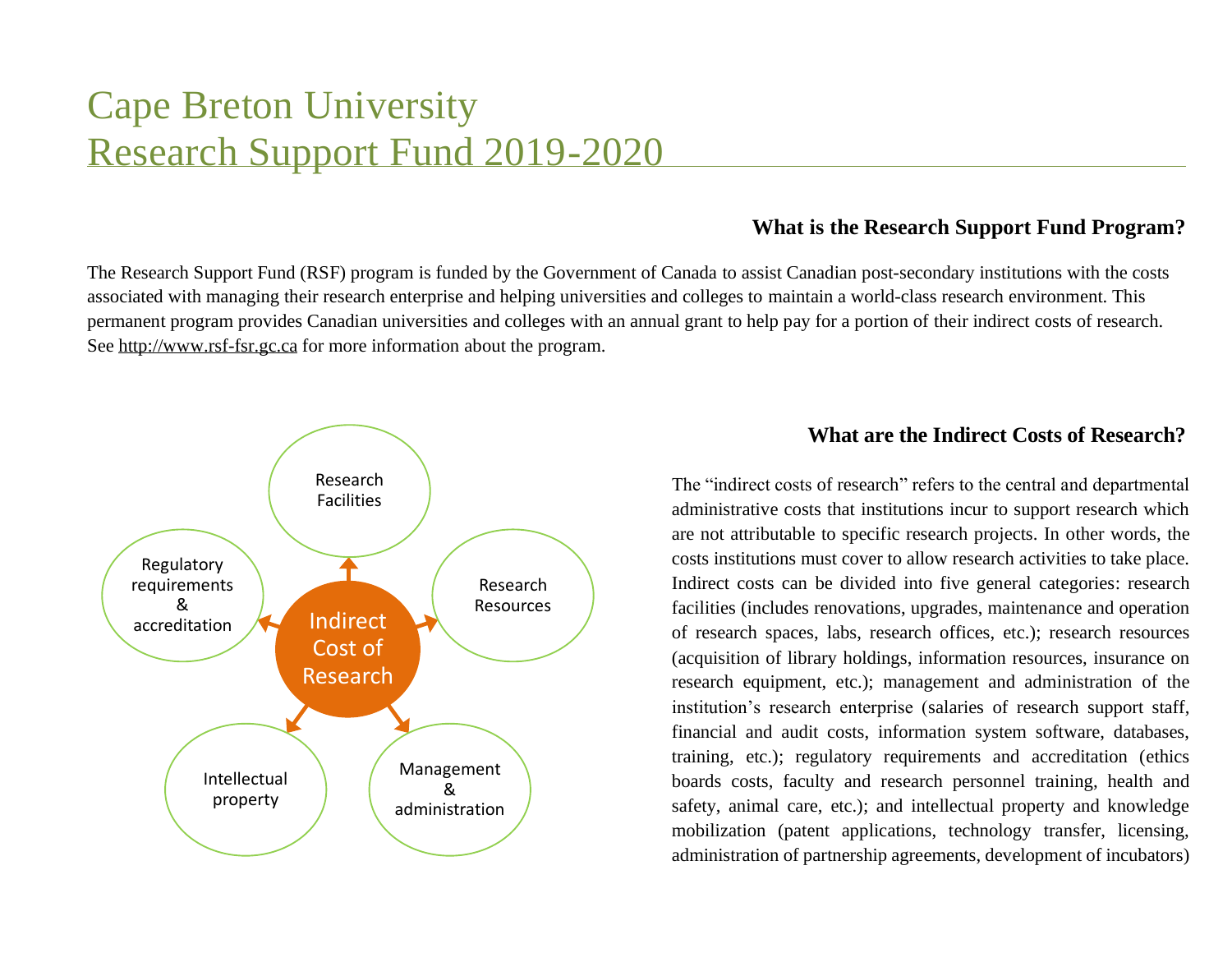# Cape Breton University Research Support Fund 2019-2020

### **What is the Research Support Fund Program?**

The Research Support Fund (RSF) program is funded by the Government of Canada to assist Canadian post-secondary institutions with the costs associated with managing their research enterprise and helping universities and colleges to maintain a world-class research environment. This permanent program provides Canadian universities and colleges with an annual grant to help pay for a portion of their indirect costs of research. See http://www.rsf-fsr.gc.ca for more information about the program.



## **What are the Indirect Costs of Research?**

The "indirect costs of research" refers to the central and departmental administrative costs that institutions incur to support research which are not attributable to specific research projects. In other words, the costs institutions must cover to allow research activities to take place. Indirect costs can be divided into five general categories: research facilities (includes renovations, upgrades, maintenance and operation of research spaces, labs, research offices, etc.); research resources (acquisition of library holdings, information resources, insurance on research equipment, etc.); management and administration of the institution's research enterprise (salaries of research support staff, financial and audit costs, information system software, databases, training, etc.); regulatory requirements and accreditation (ethics boards costs, faculty and research personnel training, health and safety, animal care, etc.); and intellectual property and knowledge mobilization (patent applications, technology transfer, licensing, administration of partnership agreements, development of incubators)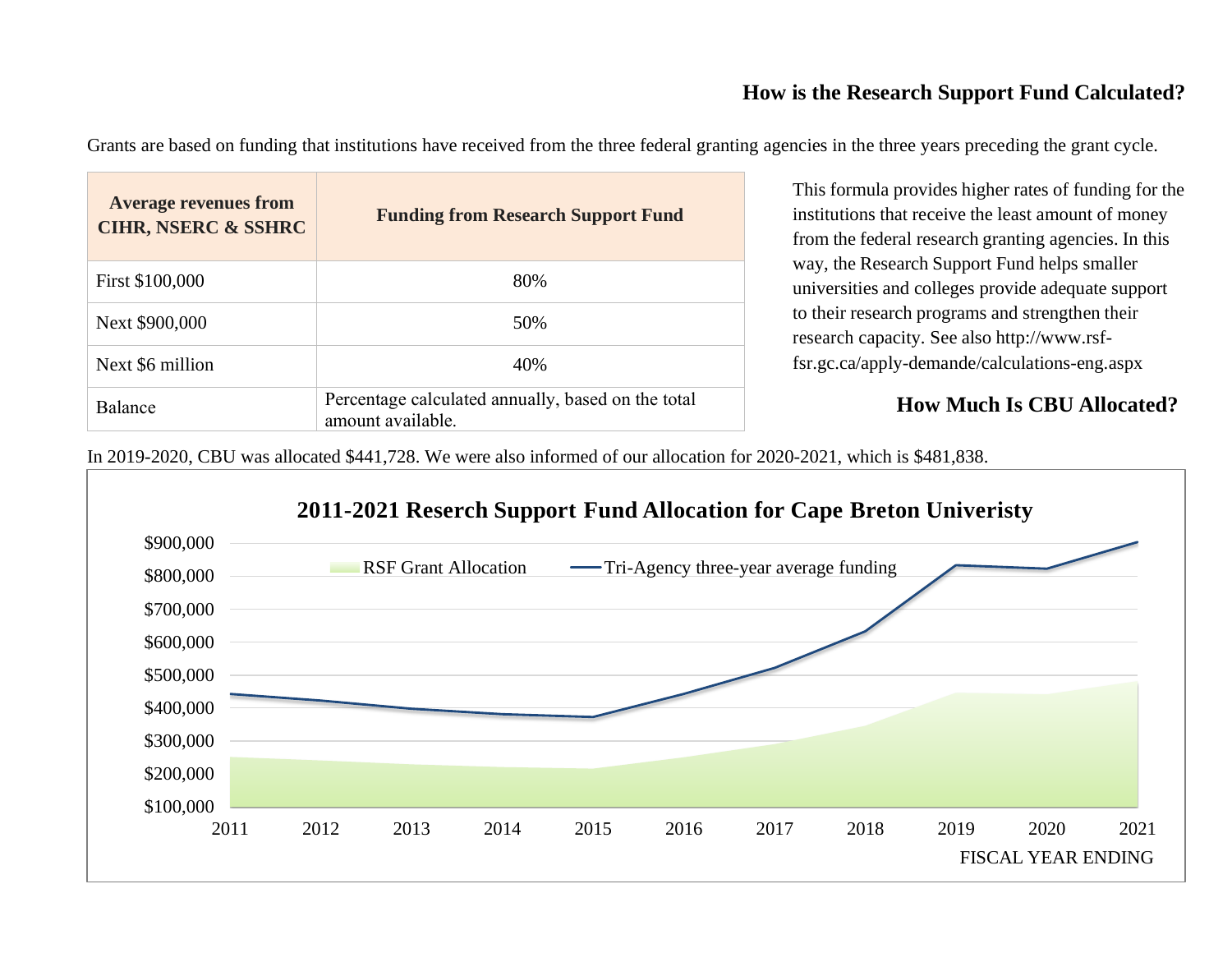## **How is the Research Support Fund Calculated?**

Grants are based on funding that institutions have received from the three federal granting agencies in the three years preceding the grant cycle.

| <b>Average revenues from</b><br><b>CIHR, NSERC &amp; SSHRC</b> | <b>Funding from Research Support Fund</b>                               |
|----------------------------------------------------------------|-------------------------------------------------------------------------|
| First \$100,000                                                | 80%                                                                     |
| Next \$900,000                                                 | 50%                                                                     |
| Next \$6 million                                               | 40%                                                                     |
| <b>Balance</b>                                                 | Percentage calculated annually, based on the total<br>amount available. |

This formula provides higher rates of funding for the institutions that receive the least amount of money from the federal research granting agencies. In this way, the Research Support Fund helps smaller universities and colleges provide adequate support to their research programs and strengthen their research capacity. See also http://www.rsffsr.gc.ca/apply-demande/calculations-eng.aspx

## **How Much Is CBU Allocated?**

In 2019-2020, CBU was allocated \$441,728. We were also informed of our allocation for 2020-2021, which is \$481,838.